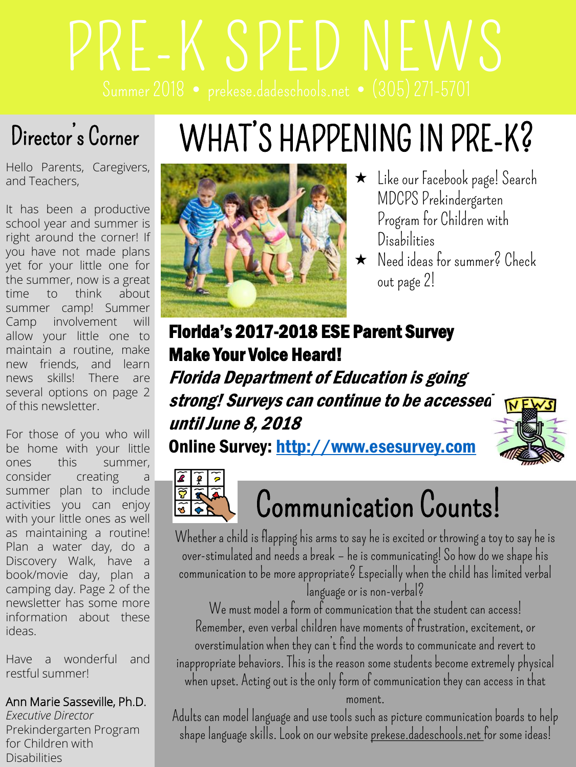# PRE-K SPED NEWS

### Director's Corner

## WHAT'S HAPPENING IN PRE-K?

Hello Parents, Caregivers, and Teachers,

It has been a productive school year and summer is right around the corner! If you have not made plans yet for your little one for the summer, now is a great time to think about summer camp! Summer Camp involvement will allow your little one to maintain a routine, make new friends, and learn news skills! There are several options on page 2 of this newsletter.

For those of you who will be home with your little ones this summer, consider creating a summer plan to include activities you can enjoy with your little ones as well as maintaining a routine! Plan a water day, do a Discovery Walk, have a book/movie day, plan a camping day. Page 2 of the newsletter has some more information about these ideas.

Have a wonderful and restful summer!

#### Ann Marie Sasseville, Ph.D.

*Executive Director* Prekindergarten Program for Children with Disabilities



- Like our Facebook page! Search MDCPS Prekindergarten Program for Children with Disabilities
- Needideas for summer? Check out page 2!

#### Florida's 2017-2018 ESE Parent Survey Make Your Voice Heard!

Florida Department of Education is going strong! Surveys can continue to be accessed  $N$ until June 8, 2018

Online Survey: [http://www.esesurvey.com](https://portal-mail.dadeschools.net/owa/redir.aspx?C=M8fnY-5t_4gb6LCxIHFakYF8QrHGSHABJR2HgekAIDqk90JkAJHUCA..&URL=http://www.esesurvey.com)





## Communication Counts!

Whether a child is flapping his arms to say he is excited or throwing a toy to say he is over-stimulated and needs a break – he is communicating! So how do we shape his communication to be more appropriate? Especially when the child has limited verbal language or is non-verbal?

We must model a form of communication that the student can access! Remember, even verbal children have moments of frustration, excitement, or overstimulation when they can't find the words to communicate and revert to inappropriate behaviors. This is the reason some students become extremely physical when upset. Acting out is the only form of communication they can access in that moment.

Adults can model language and use tools such as picture communication boards to help shape language skills. Look on our website prekese.dadeschools.net for some ideas!